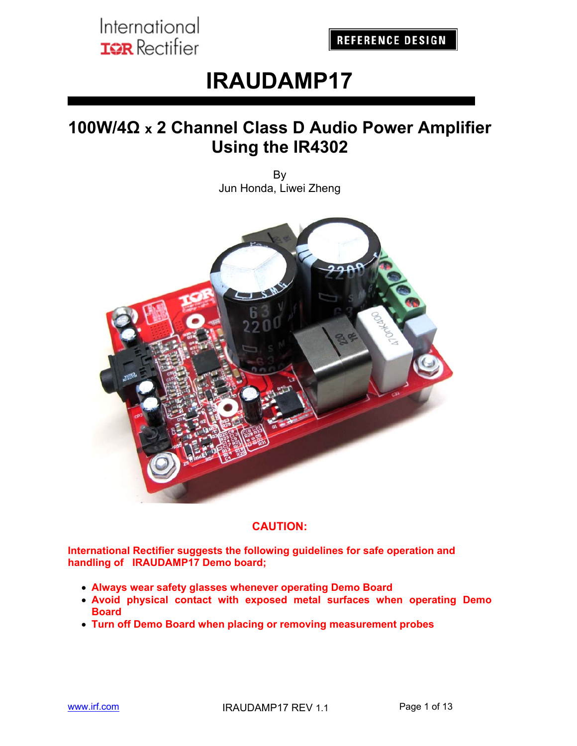**REFERENCE DESIGN** 

# **IRAUDAMP17**

## **100W/4Ω x 2 Channel Class D Audio Power Amplifier Using the IR4302**

By Jun Honda, Liwei Zheng



#### **CAUTION:**

**International Rectifier suggests the following guidelines for safe operation and handling of IRAUDAMP17 Demo board;** 

- **Always wear safety glasses whenever operating Demo Board**
- **Avoid physical contact with exposed metal surfaces when operating Demo Board**
- **Turn off Demo Board when placing or removing measurement probes**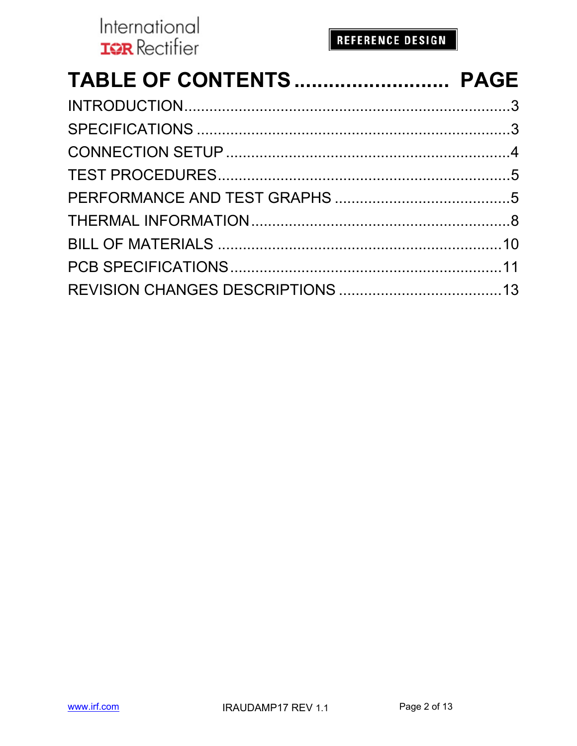| International<br>REFERENCE DESIGN<br><b>IQR</b> Rectifier |  |
|-----------------------------------------------------------|--|
| TABLE OF CONTENTS PAGE                                    |  |
|                                                           |  |
|                                                           |  |
|                                                           |  |
|                                                           |  |
|                                                           |  |
|                                                           |  |
|                                                           |  |
|                                                           |  |
|                                                           |  |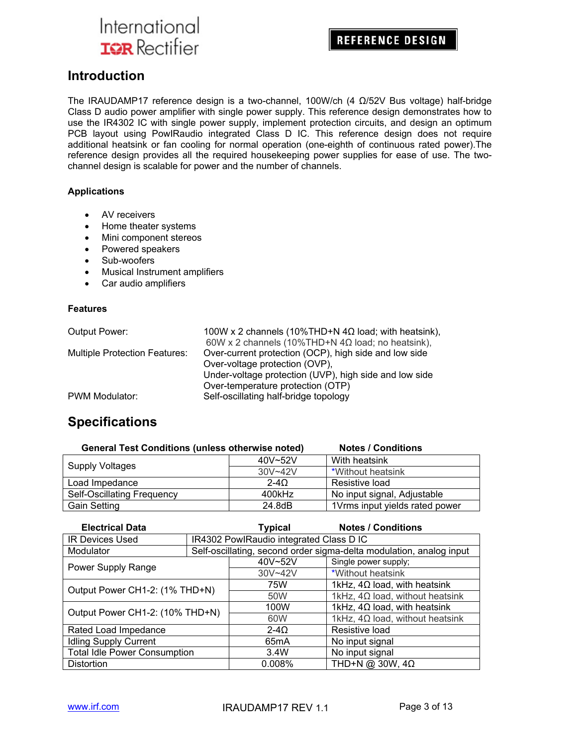**REFERENCE DESIGN** 

### **Introduction**

The IRAUDAMP17 reference design is a two-channel, 100W/ch (4 Ω/52V Bus voltage) half-bridge Class D audio power amplifier with single power supply. This reference design demonstrates how to use the IR4302 IC with single power supply, implement protection circuits, and design an optimum PCB layout using PowIRaudio integrated Class D IC. This reference design does not require additional heatsink or fan cooling for normal operation (one-eighth of continuous rated power).The reference design provides all the required housekeeping power supplies for ease of use. The twochannel design is scalable for power and the number of channels.

#### **Applications**

- AV receivers
- Home theater systems
- Mini component stereos
- Powered speakers
- Sub-woofers
- Musical Instrument amplifiers
- Car audio amplifiers

#### **Features**

| Output Power:                        | 100W x 2 channels (10%THD+N $4\Omega$ load; with heatsink), |
|--------------------------------------|-------------------------------------------------------------|
|                                      | 60W x 2 channels (10%THD+N $4\Omega$ load; no heatsink),    |
| <b>Multiple Protection Features:</b> | Over-current protection (OCP), high side and low side       |
|                                      | Over-voltage protection (OVP),                              |
|                                      | Under-voltage protection (UVP), high side and low side      |
|                                      | Over-temperature protection (OTP)                           |
| PWM Modulator:                       | Self-oscillating half-bridge topology                       |

### **Specifications**

| <b>General Test Conditions (unless otherwise noted)</b> |             | <b>Notes / Conditions</b>      |
|---------------------------------------------------------|-------------|--------------------------------|
| <b>Supply Voltages</b>                                  | $40V - 52V$ | With heatsink                  |
|                                                         | $30V - 42V$ | *Without heatsink              |
| Load Impedance                                          | $2 - 40$    | Resistive load                 |
| <b>Self-Oscillating Frequency</b>                       | 400kHz      | No input signal, Adjustable    |
| <b>Gain Setting</b>                                     | 24.8dB      | 1Vrms input yields rated power |

| <b>Electrical Data</b>              |  | <b>Typical</b>                          | <b>Notes / Conditions</b>                                           |
|-------------------------------------|--|-----------------------------------------|---------------------------------------------------------------------|
| <b>IR Devices Used</b>              |  | IR4302 PowlRaudio integrated Class D IC |                                                                     |
| Modulator                           |  |                                         | Self-oscillating, second order sigma-delta modulation, analog input |
| Power Supply Range                  |  | 40V~52V                                 | Single power supply;                                                |
|                                     |  | 30V~42V                                 | *Without heatsink                                                   |
| Output Power CH1-2: (1% THD+N)      |  | 75W                                     | 1kHz, $4\Omega$ load, with heatsink                                 |
|                                     |  | 50W                                     | 1kHz, $4\Omega$ load, without heatsink                              |
| Output Power CH1-2: (10% THD+N)     |  | 100W                                    | 1kHz, $4\Omega$ load, with heatsink                                 |
|                                     |  | 60W                                     | 1kHz, $4\Omega$ load, without heatsink                              |
| Rated Load Impedance                |  | $2-4\Omega$                             | Resistive load                                                      |
| <b>Idling Supply Current</b>        |  | 65 <sub>m</sub> A                       | No input signal                                                     |
| <b>Total Idle Power Consumption</b> |  | 3.4W                                    | No input signal                                                     |
| <b>Distortion</b>                   |  | 0.008%                                  | THD+N @ 30W, $4\Omega$                                              |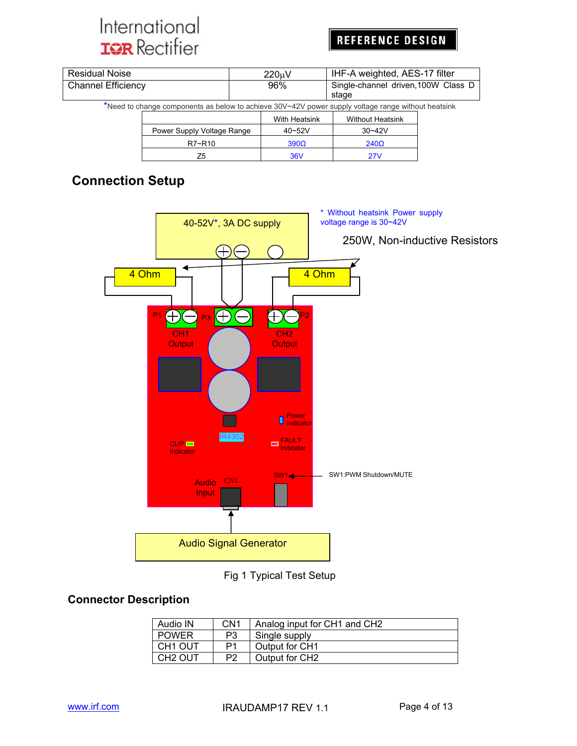## **REFERENCE DESIGN**

| <b>Residual Noise</b>                                                                              |                                                     |  | 220 <sub>u</sub> V | IHF-A weighted, AES-17 filter |  |  |
|----------------------------------------------------------------------------------------------------|-----------------------------------------------------|--|--------------------|-------------------------------|--|--|
| <b>Channel Efficiency</b>                                                                          | Single-channel driven, 100W Class D<br>96%<br>stage |  |                    |                               |  |  |
| *Need to change components as below to achieve 30V~42V power supply voltage range without heatsink |                                                     |  |                    |                               |  |  |
|                                                                                                    |                                                     |  | With Heatsink      | <b>Without Heatsink</b>       |  |  |
|                                                                                                    | Power Supply Voltage Range                          |  | 40~52V             | $30 - 42V$                    |  |  |
|                                                                                                    | R7~R10                                              |  | $390\Omega$        | $240\Omega$                   |  |  |
|                                                                                                    | Z <sub>5</sub>                                      |  | <b>36V</b>         | 27V                           |  |  |

## **Connection Setup**



Fig 1 Typical Test Setup

#### **Connector Description**

| Audio IN            | CN <sub>1</sub> | Analog input for CH1 and CH2 |
|---------------------|-----------------|------------------------------|
| <b>POWER</b>        | P3              | Single supply                |
| CH <sub>1</sub> OUT | P1              | Output for CH1               |
| CH <sub>2</sub> OUT | P <sub>2</sub>  | Output for CH2               |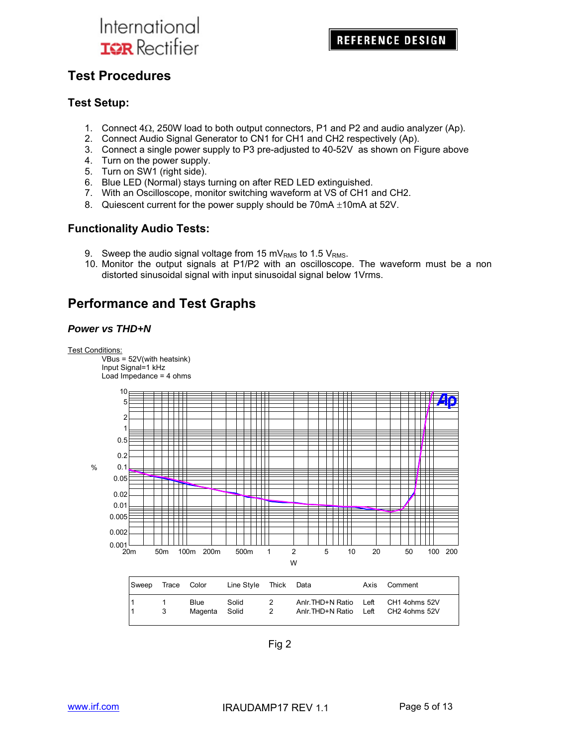### **Test Procedures**

#### **Test Setup:**

- 1. Connect  $4\Omega$ , 250W load to both output connectors, P1 and P2 and audio analyzer (Ap).
- 2. Connect Audio Signal Generator to CN1 for CH1 and CH2 respectively (Ap).
- 3. Connect a single power supply to P3 pre-adjusted to 40-52V as shown on Figure above
- 4. Turn on the power supply.
- 5. Turn on SW1 (right side).
- 6. Blue LED (Normal) stays turning on after RED LED extinguished.
- 7. With an Oscilloscope, monitor switching waveform at VS of CH1 and CH2.
- 8. Quiescent current for the power supply should be  $70$ mA  $\pm$ 10mA at 52V.

#### **Functionality Audio Tests:**

- 9. Sweep the audio signal voltage from 15 mV<sub>RMS</sub> to 1.5 V<sub>RMS</sub>.
- 10. Monitor the output signals at P1/P2 with an oscilloscope. The waveform must be a non distorted sinusoidal signal with input sinusoidal signal below 1Vrms.

### **Performance and Test Graphs**

#### *Power vs THD+N*

Test Conditions:

 $VBus = 52V$ (with heatsink) Input Signal=1 kHz Load Impedance = 4 ohms



| <b>Sweep</b> | Trace Color |                 | Line Style     | Thick | Data                                 | Axis         | Comment                        |
|--------------|-------------|-----------------|----------------|-------|--------------------------------------|--------------|--------------------------------|
|              |             | Blue<br>Magenta | Solid<br>Solid | 2     | Anlr.THD+N Ratio<br>Anlr.THD+N Ratio | Left<br>Left | CH1 4ohms 52V<br>CH2 4ohms 52V |

Fig 2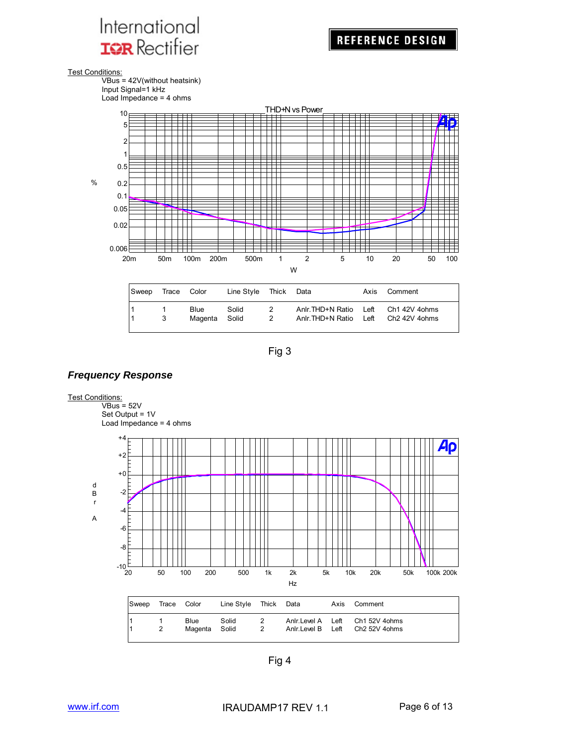Test Conditions:



Load Impedance = 4 ohms



| Sweep | Trace Color |                       | Line Style Thick Data |        |                                                                              | Axis Comment |
|-------|-------------|-----------------------|-----------------------|--------|------------------------------------------------------------------------------|--------------|
|       | 3           | Blue<br>Magenta Solid | Solid                 | 2<br>2 | Anir. THD+N Ratio Left Ch1 42V 4ohms<br>Anlr. THD+N Ratio Left Ch2 42V 4ohms |              |
|       |             |                       |                       |        |                                                                              |              |

Fig 3

#### *Frequency Response*

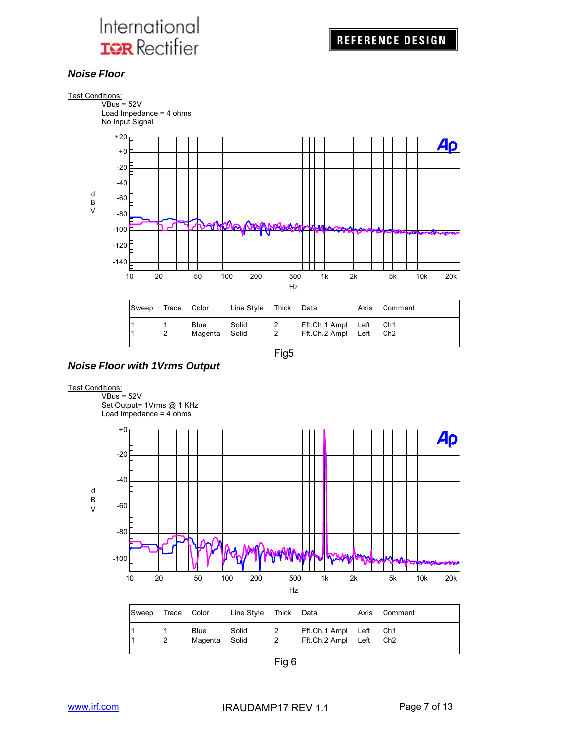

#### *Noise Floor*







#### **Test Conditions:**



Fig 6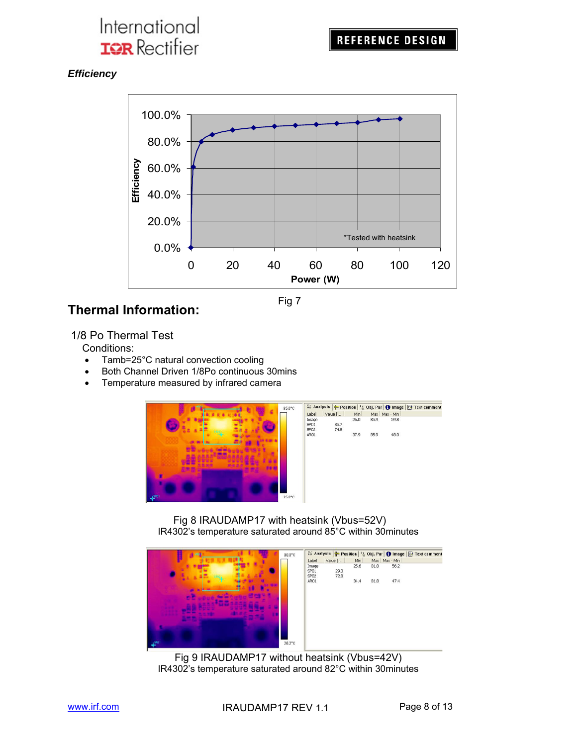*Efficiency* 



## **Thermal Information:**

1/8 Po Thermal Test

Conditions:

- Tamb=25°C natural convection cooling
- Both Channel Driven 1/8Po continuous 30mins
- Temperature measured by infrared camera



Fig 8 IRAUDAMP17 with heatsink (Vbus=52V) IR4302's temperature saturated around 85°C within 30minutes



 Fig 9 IRAUDAMP17 without heatsink (Vbus=42V) IR4302's temperature saturated around 82°C within 30minutes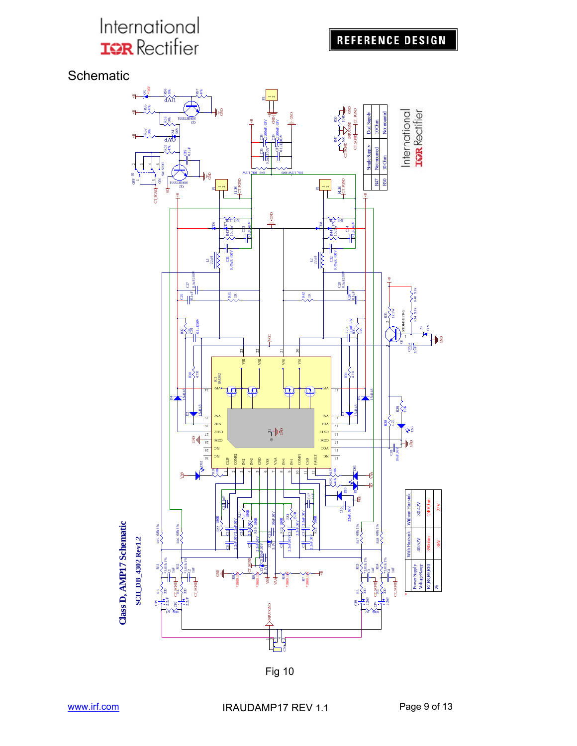**REFERENCE DESIGN** 

**Schematic** 



Fig 10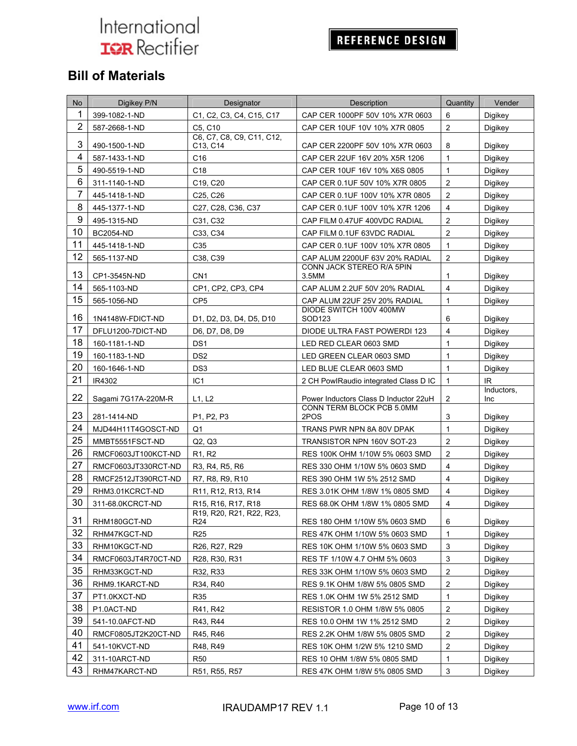## REFERENCE DESIGN

## **Bill of Materials**

| <b>No</b>       | Digikey P/N         | Designator                                          | Description                           | Quantity                | Vender             |
|-----------------|---------------------|-----------------------------------------------------|---------------------------------------|-------------------------|--------------------|
| 1               | 399-1082-1-ND       | C1, C2, C3, C4, C15, C17                            | CAP CER 1000PF 50V 10% X7R 0603       | 6                       | Digikey            |
| $\overline{2}$  | 587-2668-1-ND       | C5, C10                                             | CAP CER 10UF 10V 10% X7R 0805         | $\overline{2}$          | Digikey            |
| 3               | 490-1500-1-ND       | C6, C7, C8, C9, C11, C12,<br>C13, C14               | CAP CER 2200PF 50V 10% X7R 0603       | 8                       | Digikey            |
| 4               | 587-1433-1-ND       | C16                                                 | CAP CER 22UF 16V 20% X5R 1206         | $\mathbf{1}$            | Digikey            |
| 5               | 490-5519-1-ND       | C18                                                 | CAP CER 10UF 16V 10% X6S 0805         | $\mathbf{1}$            | Digikey            |
| $6\phantom{1}6$ | 311-1140-1-ND       | C19, C20                                            | CAP CER 0.1UF 50V 10% X7R 0805        | $\overline{c}$          | Digikey            |
| $\overline{7}$  | 445-1418-1-ND       | C25, C26                                            | CAP CER 0.1UF 100V 10% X7R 0805       | $\overline{2}$          | Digikey            |
| 8               | 445-1377-1-ND       | C27, C28, C36, C37                                  | CAP CER 0.1UF 100V 10% X7R 1206       | $\overline{4}$          | Digikey            |
| 9               | 495-1315-ND         | C31, C32                                            | CAP FILM 0.47UF 400VDC RADIAL         | $\overline{2}$          | Digikey            |
| 10              | <b>BC2054-ND</b>    | C33, C34                                            | CAP FILM 0.1UF 63VDC RADIAL           | $\overline{2}$          | Digikey            |
| 11              | 445-1418-1-ND       | C35                                                 | CAP CER 0.1UF 100V 10% X7R 0805       | $\mathbf{1}$            | Digikey            |
| 12              | 565-1137-ND         | C38, C39                                            | CAP ALUM 2200UF 63V 20% RADIAL        | $\overline{2}$          | Digikey            |
| 13              | CP1-3545N-ND        | CN <sub>1</sub>                                     | CONN JACK STEREO R/A 5PIN<br>3.5MM    | 1                       | Digikey            |
| 14              | 565-1103-ND         | CP1, CP2, CP3, CP4                                  | CAP ALUM 2.2UF 50V 20% RADIAL         | $\overline{4}$          | Digikey            |
| 15              | 565-1056-ND         | CP <sub>5</sub>                                     | CAP ALUM 22UF 25V 20% RADIAL          | $\mathbf{1}$            | Digikey            |
| 16              | 1N4148W-FDICT-ND    | D1, D2, D3, D4, D5, D10                             | DIODE SWITCH 100V 400MW<br>SOD123     | 6                       | Digikey            |
| 17              | DFLU1200-7DICT-ND   | D6, D7, D8, D9                                      | DIODE ULTRA FAST POWERDI 123          | $\overline{4}$          | Digikey            |
| 18              | 160-1181-1-ND       | DS <sub>1</sub>                                     | LED RED CLEAR 0603 SMD                | $\mathbf{1}$            | Digikey            |
| 19              | 160-1183-1-ND       | DS <sub>2</sub>                                     | LED GREEN CLEAR 0603 SMD              | $\mathbf{1}$            | Digikey            |
| 20              | 160-1646-1-ND       | DS <sub>3</sub>                                     | LED BLUE CLEAR 0603 SMD               | $\mathbf{1}$            | Digikey            |
| 21              | IR4302              | IC <sub>1</sub>                                     | 2 CH PowlRaudio integrated Class D IC | $\mathbf{1}$            | IR.                |
| 22              | Sagami 7G17A-220M-R | L1, L2                                              | Power Inductors Class D Inductor 22uH | $\overline{c}$          | Inductors,<br>Inc. |
| 23              | 281-1414-ND         | P <sub>1</sub> , P <sub>2</sub> , P <sub>3</sub>    | CONN TERM BLOCK PCB 5.0MM<br>2POS     | 3                       | Digikey            |
| 24              | MJD44H11T4GOSCT-ND  | Q <sub>1</sub>                                      | TRANS PWR NPN 8A 80V DPAK             | $\mathbf{1}$            | Digikey            |
| 25              | MMBT5551FSCT-ND     | Q2, Q3                                              | TRANSISTOR NPN 160V SOT-23            | $\overline{c}$          | Digikey            |
| 26              | RMCF0603JT100KCT-ND | R <sub>1</sub> , R <sub>2</sub>                     | RES 100K OHM 1/10W 5% 0603 SMD        | 2                       | Digikey            |
| 27              | RMCF0603JT330RCT-ND | R3, R4, R5, R6                                      | RES 330 OHM 1/10W 5% 0603 SMD         | $\overline{4}$          | Digikey            |
| 28              | RMCF2512JT390RCT-ND | R7, R8, R9, R10                                     | RES 390 OHM 1W 5% 2512 SMD            | $\overline{4}$          | Digikey            |
| 29              | RHM3.01KCRCT-ND     | R11, R12, R13, R14                                  | RES 3.01K OHM 1/8W 1% 0805 SMD        | $\overline{\mathbf{4}}$ | Digikey            |
| 30              | 311-68.0KCRCT-ND    | R15, R16, R17, R18                                  | RES 68.0K OHM 1/8W 1% 0805 SMD        | $\overline{4}$          | Digikey            |
|                 |                     | R19, R20, R21, R22, R23,                            |                                       |                         |                    |
| 31              | RHM180GCT-ND        | R24                                                 | RES 180 OHM 1/10W 5% 0603 SMD         | 6                       | Digikey            |
| 32              | RHM47KGCT-ND        | R <sub>25</sub>                                     | RES 47K OHM 1/10W 5% 0603 SMD         | $\mathbf{1}$            | Digikey            |
| 33              | RHM10KGCT-ND        | R26, R27, R29                                       | RES 10K OHM 1/10W 5% 0603 SMD         | 3                       | Digikey            |
| 34              | RMCF0603JT4R70CT-ND | R <sub>28</sub> , R <sub>30</sub> , R <sub>31</sub> | RES TF 1/10W 4.7 OHM 5% 0603          | $\mathsf 3$             | Digikey            |
| 35              | RHM33KGCT-ND        | R32, R33                                            | RES 33K OHM 1/10W 5% 0603 SMD         | $\overline{c}$          | Digikey            |
| 36              | RHM9.1KARCT-ND      | R34, R40                                            | RES 9.1K OHM 1/8W 5% 0805 SMD         | $\boldsymbol{2}$        | Digikey            |
| 37              | PT1.0KXCT-ND        | R35                                                 | RES 1.0K OHM 1W 5% 2512 SMD           | 1                       | Digikey            |
| 38              | P1.0ACT-ND          | R41, R42                                            | RESISTOR 1.0 OHM 1/8W 5% 0805         | $\overline{2}$          | Digikey            |
| 39              | 541-10.0AFCT-ND     | R43, R44                                            | RES 10.0 OHM 1W 1% 2512 SMD           | $\overline{c}$          | Digikey            |
| 40              | RMCF0805JT2K20CT-ND | R45, R46                                            | RES 2.2K OHM 1/8W 5% 0805 SMD         | $\boldsymbol{2}$        | Digikey            |
| 41              | 541-10KVCT-ND       | R48, R49                                            | RES 10K OHM 1/2W 5% 1210 SMD          | $\boldsymbol{2}$        | Digikey            |
| 42              | 311-10ARCT-ND       | R50                                                 | RES 10 OHM 1/8W 5% 0805 SMD           | $\mathbf{1}$            | Digikey            |
| 43              | RHM47KARCT-ND       | R51, R55, R57                                       | RES 47K OHM 1/8W 5% 0805 SMD          | $\mathfrak{S}$          | Digikey            |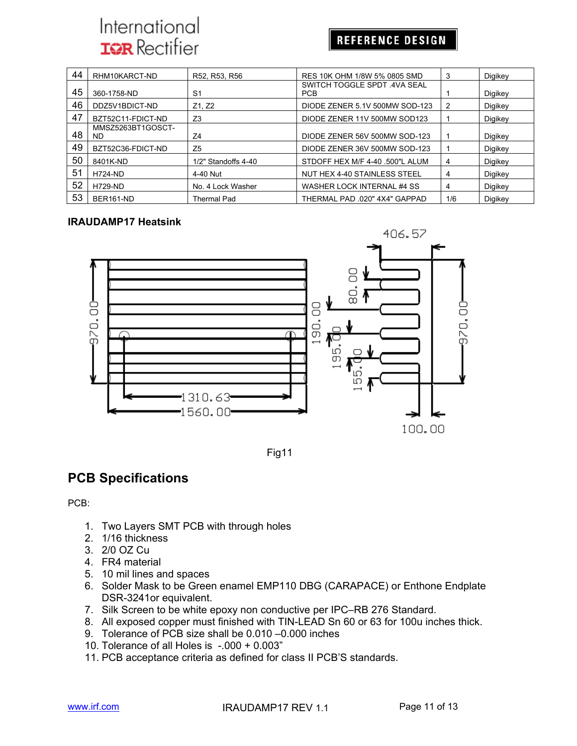### **REFERENCE DESIGN**

| 44 | RHM10KARCT-ND            | R52, R53, R56       | RES 10K OHM 1/8W 5% 0805 SMD              | 3   | Digikey |
|----|--------------------------|---------------------|-------------------------------------------|-----|---------|
| 45 | 360-1758-ND              | S <sub>1</sub>      | SWITCH TOGGLE SPDT 4VA SEAL<br><b>PCB</b> |     | Digikey |
| 46 | DDZ5V1BDICT-ND           | Z1, Z2              | DIODE ZENER 5.1V 500MW SOD-123            | 2   | Digikey |
| 47 | BZT52C11-FDICT-ND        | Z <sub>3</sub>      | DIODE ZENER 11V 500MW SOD123              |     | Digikey |
| 48 | MMSZ5263BT1GOSCT-<br>ND. | Z4                  | DIODE ZENER 56V 500MW SOD-123             |     | Digikey |
| 49 | BZT52C36-FDICT-ND        | Z <sub>5</sub>      | DIODE ZENER 36V 500MW SOD-123             |     | Digikey |
| 50 | 8401K-ND                 | 1/2" Standoffs 4-40 | STDOFF HEX M/F 4-40 .500"L ALUM           | 4   | Digikey |
| 51 | <b>H724-ND</b>           | 4-40 Nut            | NUT HEX 4-40 STAINLESS STEEL              | 4   | Digikey |
| 52 | <b>H729-ND</b>           | No. 4 Lock Washer   | WASHER LOCK INTERNAL #4 SS                | 4   | Digikey |
| 53 | BER161-ND                | <b>Thermal Pad</b>  | THERMAL PAD .020" 4X4" GAPPAD             | 1/6 | Digikey |

#### **IRAUDAMP17 Heatsink**



Fig11

## **PCB Specifications**

PCB:

- 1. Two Layers SMT PCB with through holes
- 2. 1/16 thickness
- 3. 2/0 OZ Cu
- 4. FR4 material
- 5. 10 mil lines and spaces
- 6. Solder Mask to be Green enamel EMP110 DBG (CARAPACE) or Enthone Endplate DSR-3241or equivalent.
- 7. Silk Screen to be white epoxy non conductive per IPC–RB 276 Standard.
- 8. All exposed copper must finished with TIN-LEAD Sn 60 or 63 for 100u inches thick.
- 9. Tolerance of PCB size shall be 0.010 –0.000 inches
- 10. Tolerance of all Holes is -.000 + 0.003"
- 11. PCB acceptance criteria as defined for class II PCB'S standards.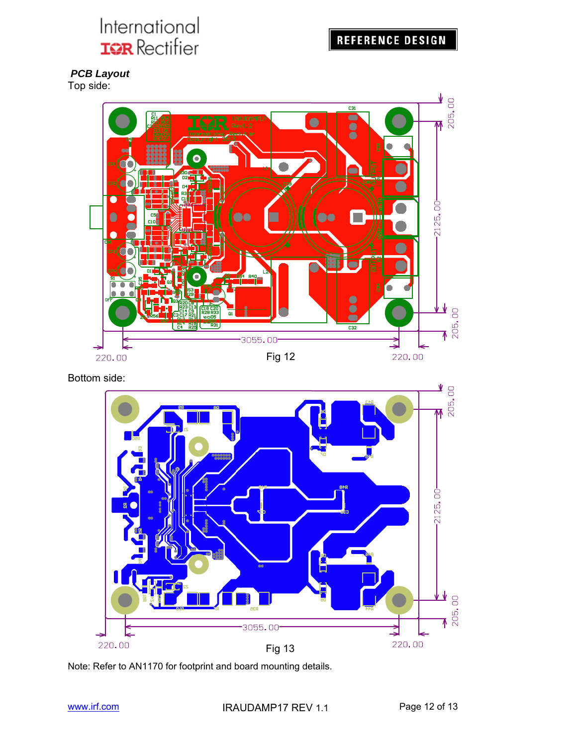## **REFERENCE DESIGN**

 *PCB Layout*  Top side:



Bottom side:



Note: Refer to AN1170 for footprint and board mounting details.